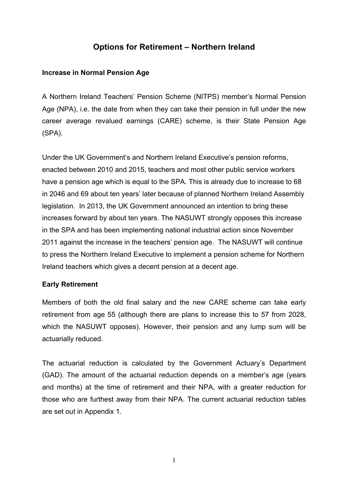# **Options for Retirement – Northern Ireland**

### **Increase in Normal Pension Age**

A Northern Ireland Teachers' Pension Scheme (NITPS) member's Normal Pension Age (NPA), i.e. the date from when they can take their pension in full under the new career average revalued earnings (CARE) scheme, is their State Pension Age (SPA).

Under the UK Government's and Northern Ireland Executive's pension reforms, enacted between 2010 and 2015, teachers and most other public service workers have a pension age which is equal to the SPA. This is already due to increase to 68 in 2046 and 69 about ten years' later because of planned Northern Ireland Assembly legislation. In 2013, the UK Government announced an intention to bring these increases forward by about ten years. The NASUWT strongly opposes this increase in the SPA and has been implementing national industrial action since November 2011 against the increase in the teachers' pension age. The NASUWT will continue to press the Northern Ireland Executive to implement a pension scheme for Northern Ireland teachers which gives a decent pension at a decent age.

### **Early Retirement**

Members of both the old final salary and the new CARE scheme can take early retirement from age 55 (although there are plans to increase this to 57 from 2028, which the NASUWT opposes). However, their pension and any lump sum will be actuarially reduced.

The actuarial reduction is calculated by the Government Actuary's Department (GAD). The amount of the actuarial reduction depends on a member's age (years and months) at the time of retirement and their NPA, with a greater reduction for those who are furthest away from their NPA. The current actuarial reduction tables are set out in Appendix 1.

1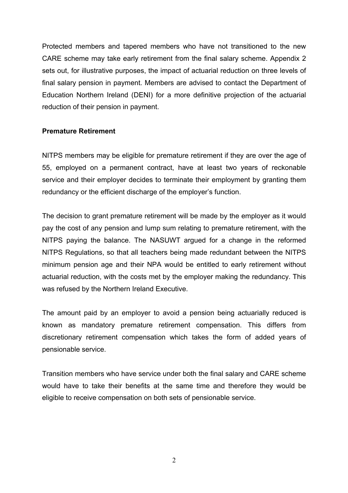Protected members and tapered members who have not transitioned to the new CARE scheme may take early retirement from the final salary scheme. Appendix 2 sets out, for illustrative purposes, the impact of actuarial reduction on three levels of final salary pension in payment. Members are advised to contact the Department of Education Northern Ireland (DENI) for a more definitive projection of the actuarial reduction of their pension in payment.

### **Premature Retirement**

NITPS members may be eligible for premature retirement if they are over the age of 55, employed on a permanent contract, have at least two years of reckonable service and their employer decides to terminate their employment by granting them redundancy or the efficient discharge of the employer's function.

The decision to grant premature retirement will be made by the employer as it would pay the cost of any pension and lump sum relating to premature retirement, with the NITPS paying the balance. The NASUWT argued for a change in the reformed NITPS Regulations, so that all teachers being made redundant between the NITPS minimum pension age and their NPA would be entitled to early retirement without actuarial reduction, with the costs met by the employer making the redundancy. This was refused by the Northern Ireland Executive.

The amount paid by an employer to avoid a pension being actuarially reduced is known as mandatory premature retirement compensation. This differs from discretionary retirement compensation which takes the form of added years of pensionable service.

Transition members who have service under both the final salary and CARE scheme would have to take their benefits at the same time and therefore they would be eligible to receive compensation on both sets of pensionable service.

 $\mathfrak{D}$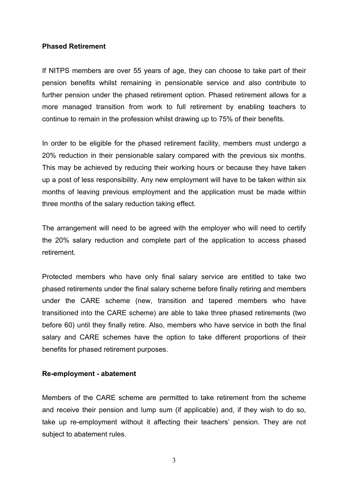#### **Phased Retirement**

If NITPS members are over 55 years of age, they can choose to take part of their pension benefits whilst remaining in pensionable service and also contribute to further pension under the phased retirement option. Phased retirement allows for a more managed transition from work to full retirement by enabling teachers to continue to remain in the profession whilst drawing up to 75% of their benefits.

In order to be eligible for the phased retirement facility, members must undergo a 20% reduction in their pensionable salary compared with the previous six months. This may be achieved by reducing their working hours or because they have taken up a post of less responsibility. Any new employment will have to be taken within six months of leaving previous employment and the application must be made within three months of the salary reduction taking effect.

The arrangement will need to be agreed with the employer who will need to certify the 20% salary reduction and complete part of the application to access phased retirement.

Protected members who have only final salary service are entitled to take two phased retirements under the final salary scheme before finally retiring and members under the CARE scheme (new, transition and tapered members who have transitioned into the CARE scheme) are able to take three phased retirements (two before 60) until they finally retire. Also, members who have service in both the final salary and CARE schemes have the option to take different proportions of their benefits for phased retirement purposes.

#### **Re-employment - abatement**

Members of the CARE scheme are permitted to take retirement from the scheme and receive their pension and lump sum (if applicable) and, if they wish to do so, take up re-employment without it affecting their teachers' pension. They are not subject to abatement rules.

3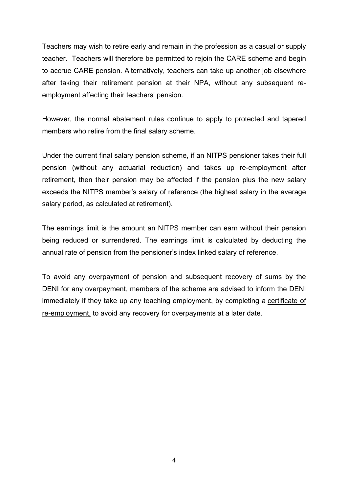Teachers may wish to retire early and remain in the profession as a casual or supply teacher. Teachers will therefore be permitted to rejoin the CARE scheme and begin to accrue CARE pension. Alternatively, teachers can take up another job elsewhere after taking their retirement pension at their NPA, without any subsequent reemployment affecting their teachers' pension.

However, the normal abatement rules continue to apply to protected and tapered members who retire from the final salary scheme.

Under the current final salary pension scheme, if an NITPS pensioner takes their full pension (without any actuarial reduction) and takes up re-employment after retirement, then their pension may be affected if the pension plus the new salary exceeds the NITPS member's salary of reference (the highest salary in the average salary period, as calculated at retirement).

The earnings limit is the amount an NITPS member can earn without their pension being reduced or surrendered. The earnings limit is calculated by deducting the annual rate of pension from the pensioner's index linked salary of reference.

To avoid any overpayment of pension and subsequent recovery of sums by the DENI for any overpayment, members of the scheme are advised to inform the DENI immediately if they take up any teaching employment, by completing a certificate of re-employment, to avoid any recovery for overpayments at a later date.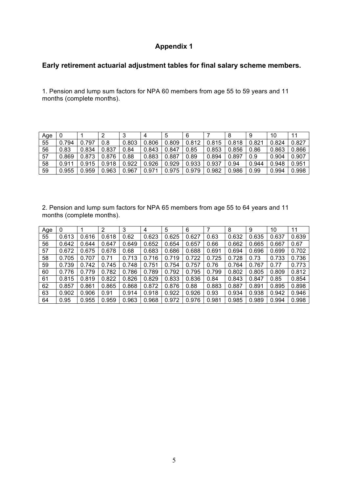## **Appendix 1**

### **Early retirement actuarial adjustment tables for final salary scheme members.**

1. Pension and lump sum factors for NPA 60 members from age 55 to 59 years and 11 months (complete months).

| Age |       |       |       | J     |       |       |       |       | 8     | 9     | 10    |       |
|-----|-------|-------|-------|-------|-------|-------|-------|-------|-------|-------|-------|-------|
| 55  | 0.794 | 0.797 | 0.8   | 0.803 | 0.806 | 0.809 | 0.812 | 0.815 | 0.818 | 0.821 | 0.824 | 0.827 |
| 56  | 0.83  | 0.834 | 0.837 | 0.84  | 0.843 | 0.847 | 0.85  | 0.853 | 0.856 | 0.86  | 0.863 | 0.866 |
| 57  | 0.869 | 0.873 | 0.876 | 0.88  | 0.883 | 0.887 | 0.89  | 0.894 | 0.897 | 0.9   | 0.904 | 0.907 |
| 58  | 0.911 | 0.915 | 0.918 | 0.922 | 0.926 | 0.929 | 0.933 | 0.937 | 0.94  | 0.944 | 0.948 | 0.951 |
| 59  | 0.955 | 0.959 | 0.963 | 0.967 | 0.971 | 0.975 | 0.979 | 0.982 | 0.986 | 0.99  | 0.994 | 0.998 |

2. Pension and lump sum factors for NPA 65 members from age 55 to 64 years and 11 months (complete months).

| Age | 0     |       | 2     | 3     | 4     | 5     | 6     |       | 8     | 9     | 10    | 11    |
|-----|-------|-------|-------|-------|-------|-------|-------|-------|-------|-------|-------|-------|
| 55  | 0.613 | 0.616 | 0.618 | 0.62  | 0.623 | 0.625 | 0.627 | 0.63  | 0.632 | 0.635 | 0.637 | 0.639 |
| 56  | 0.642 | 0.644 | 0.647 | 0.649 | 0.652 | 0.654 | 0.657 | 0.66  | 0.662 | 0.665 | 0.667 | 0.67  |
| 57  | 0.672 | 0.675 | 0.678 | 0.68  | 0.683 | 0.686 | 0.688 | 0.691 | 0.694 | 0.696 | 0.699 | 0.702 |
| 58  | 0.705 | 0.707 | 0.71  | 0.713 | 0.716 | 0.719 | 0.722 | 0.725 | 0.728 | 0.73  | 0.733 | 0.736 |
| 59  | 0.739 | 0.742 | 0.745 | 0.748 | 0.751 | 0.754 | 0.757 | 0.76  | 0.764 | 0.767 | 0.77  | 0.773 |
| 60  | 0.776 | 0.779 | 0.782 | 0.786 | 0.789 | 0.792 | 0.795 | 0.799 | 0.802 | 0.805 | 0.809 | 0.812 |
| 61  | 0.815 | 0.819 | 0.822 | 0.826 | 0.829 | 0.833 | 0.836 | 0.84  | 0.843 | 0.847 | 0.85  | 0.854 |
| 62  | 0.857 | 0.861 | 0.865 | 0.868 | 0.872 | 0.876 | 0.88  | 0.883 | 0.887 | 0.891 | 0.895 | 0.898 |
| 63  | 0.902 | 0.906 | 0.91  | 0.914 | 0.918 | 0.922 | 0.926 | 0.93  | 0.934 | 0.938 | 0.942 | 0.946 |
| 64  | 0.95  | 0.955 | 0.959 | 0.963 | 0.968 | 0.972 | 0.976 | 0.981 | 0.985 | 0.989 | 0.994 | 0.998 |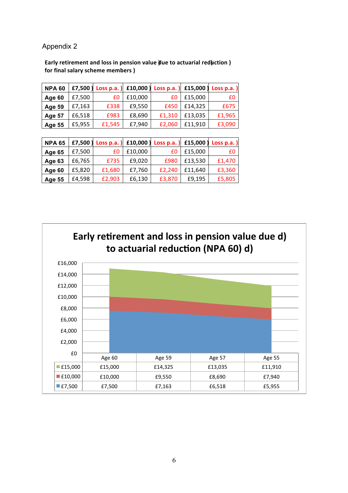Appendix 2

Early retirement and loss in pension value due to actuarial reduction) for final salary scheme members )

| <b>NPA 60</b> | £7,500) | Loss p.a. | £10,000) | Loss $p.a.$ ) |         | £15,000   Loss p.a. $]$ |
|---------------|---------|-----------|----------|---------------|---------|-------------------------|
| Age 60        | £7,500  | £0        | £10,000  | £0            | £15,000 | £0                      |
| <b>Age 59</b> | £7,163  | £338      | £9,550   | £450          | £14,325 | £675                    |
| <b>Age 57</b> | £6,518  | £983      | £8,690   | £1,310        | £13,035 | £1,965                  |
| <b>Age 55</b> | £5,955  | £1,545    | £7,940   | £2,060        | £11,910 | £3,090                  |

| <b>NPA 65</b> |        | £7,500 Loss p.a. ) £10,000 Loss p.a. ) £15,000 Loss p.a. |         |        |         |        |
|---------------|--------|----------------------------------------------------------|---------|--------|---------|--------|
| Age 65        | £7,500 | £0                                                       | £10,000 | £0     | £15,000 | £0     |
| Age 63        | £6,765 | £735                                                     | £9,020  | £980   | £13,530 | £1,470 |
| Age 60        | £5,820 | £1,680                                                   | £7,760  | £2,240 | £11,640 | £3,360 |
| <b>Age 55</b> | £4,598 | £2,903                                                   | £6,130  | £3,870 | £9,195  | £5,805 |